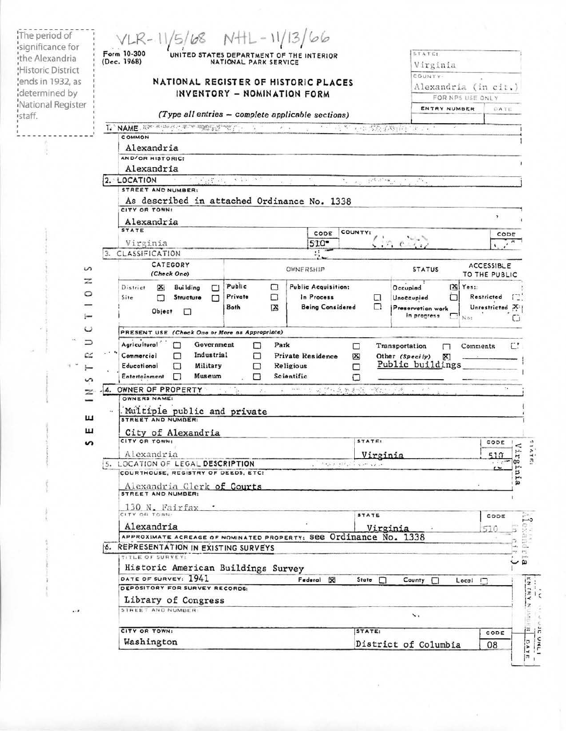|                   | $VLR - 11/5/68$ NHL-11/13/66<br>Form 10-300                                      |                                                                                               |                                                                                                            |                                              |                              |              | STATE:                              |                                 |                             |  |
|-------------------|----------------------------------------------------------------------------------|-----------------------------------------------------------------------------------------------|------------------------------------------------------------------------------------------------------------|----------------------------------------------|------------------------------|--------------|-------------------------------------|---------------------------------|-----------------------------|--|
|                   | UNITED STATES DEPARTMENT OF THE INTERIOR<br>(Dec. 1968)<br>NATIONAL PARK SERVICE |                                                                                               |                                                                                                            |                                              |                              |              |                                     | Virginia                        |                             |  |
|                   |                                                                                  |                                                                                               |                                                                                                            |                                              |                              |              |                                     | COUNTY-<br>Alexandria (in cit.) |                             |  |
| lends in 1932, as |                                                                                  | NATIONAL REGISTER OF HISTORIC PLACES                                                          |                                                                                                            |                                              |                              |              |                                     |                                 |                             |  |
|                   |                                                                                  |                                                                                               | INVENTORY - NOMINATION FORM                                                                                |                                              |                              |              |                                     | FOR NPS USE ONLY                |                             |  |
| National Register |                                                                                  | (Type all entries - complete applicable sections)                                             |                                                                                                            |                                              |                              |              |                                     | ENTRY NUMBER                    | DATE                        |  |
|                   |                                                                                  | T. NAME RECORDS CAPE SERVICE TO A TABLE                                                       |                                                                                                            | $\qquad \qquad \bullet$                      |                              |              | <b>STATE CONSTRAINTS *</b>          |                                 |                             |  |
|                   |                                                                                  | <b>COMMON</b>                                                                                 |                                                                                                            |                                              |                              |              |                                     |                                 |                             |  |
|                   |                                                                                  | Alexandria                                                                                    |                                                                                                            |                                              |                              |              |                                     |                                 |                             |  |
|                   |                                                                                  | AND/OR HISTORIC:                                                                              |                                                                                                            |                                              |                              |              |                                     |                                 |                             |  |
|                   |                                                                                  | Alexandria                                                                                    |                                                                                                            |                                              |                              |              |                                     |                                 |                             |  |
|                   |                                                                                  | 2. LOCATION<br>$\mathcal{L}_1, \mathcal{E}_2, \mathcal{E}_3$<br>STREET AND NUMBER:            | $\mathbf{v} = \mathbf{v} \cdot \mathbf{v} \quad \text{and} \quad \mathbf{v} = \mathbf{v} \cdot \mathbf{v}$ |                                              |                              | 125.1500     | 22.1                                |                                 |                             |  |
|                   |                                                                                  |                                                                                               |                                                                                                            |                                              |                              |              |                                     |                                 |                             |  |
|                   |                                                                                  | As described in attached Ordinance No. 1338<br>CITY OR TOWN!                                  |                                                                                                            |                                              |                              |              |                                     |                                 |                             |  |
|                   |                                                                                  | Alexandria                                                                                    |                                                                                                            |                                              |                              |              |                                     |                                 | $\overline{\phantom{a}}$    |  |
|                   |                                                                                  | <b>STATE</b>                                                                                  |                                                                                                            |                                              | CODE                         | COUNTY:      |                                     |                                 |                             |  |
|                   |                                                                                  | Virginia                                                                                      |                                                                                                            |                                              | $510 -$                      |              |                                     |                                 | CODE                        |  |
|                   |                                                                                  | 3. CLASSIFICATION                                                                             |                                                                                                            |                                              | $\mathbf{H}$                 |              |                                     |                                 |                             |  |
|                   |                                                                                  | CATEGORY                                                                                      |                                                                                                            |                                              |                              |              |                                     |                                 | <b>ACCESSIBLE</b>           |  |
| S                 |                                                                                  | (Check One)                                                                                   |                                                                                                            | OWNERSHIP                                    |                              |              | <b>STATUS</b>                       |                                 | TO THE PUBLIC               |  |
| z                 |                                                                                  | <b>Building</b><br>District<br>×<br>П                                                         | Public                                                                                                     | □                                            | Public Acquisition:          |              | Occupied                            | $[3]$ Yes:                      |                             |  |
| 0                 | Site                                                                             | Structure<br>П<br>⊓                                                                           | Private                                                                                                    | □                                            | In Process                   | □            | Unoccupied                          | ⊓                               | Restricted                  |  |
|                   |                                                                                  |                                                                                               |                                                                                                            |                                              |                              |              |                                     |                                 |                             |  |
|                   |                                                                                  |                                                                                               | <b>Both</b>                                                                                                | ×                                            | <b>Being Considered</b>      | □            | Preservation work                   |                                 |                             |  |
|                   |                                                                                  | Object<br>□                                                                                   |                                                                                                            |                                              |                              |              | in progress                         | No:                             | Unrestricted X              |  |
| ပ<br>⊃            |                                                                                  | PRESENT USE (Check One or More as Appropriate)<br>Agricultural<br>Government                  | □                                                                                                          | Park                                         |                              | □            | Transportation                      | Comments<br>п                   | Ľ.                          |  |
| $\sim$            |                                                                                  | Industrial<br>Commercial<br>⊓<br>Educational<br>Military<br>□<br>Museum<br>Entertainment<br>□ | п<br>□<br>п                                                                                                | Private Residence<br>Religious<br>Scientific |                              | ⊠<br>⊓       | Other (Specily)<br>Public buildings | X)                              |                             |  |
| S<br>z            | 4.                                                                               | OWNER OF PROPERTY<br>OWNERS NAME:                                                             | a y Ma<br>$\mathcal{P}_{\text{out}}$                                                                       |                                              | 4. 中国主义协议在奥斯特 网络白罗香          |              | $-2.1$                              |                                 | $\mathcal{F}_{\mathcal{A}}$ |  |
|                   |                                                                                  |                                                                                               |                                                                                                            |                                              |                              |              |                                     |                                 |                             |  |
| ш                 | $\lambda_{\rm A}$                                                                | Multiple public and private<br>STREET AND NUMBER:                                             |                                                                                                            |                                              |                              |              |                                     |                                 |                             |  |
|                   |                                                                                  |                                                                                               |                                                                                                            |                                              |                              |              |                                     |                                 |                             |  |
|                   |                                                                                  | City of Alexandria<br>CITY OR TOWN:                                                           |                                                                                                            |                                              |                              | STATE:       |                                     |                                 | CODE                        |  |
|                   |                                                                                  | Alexandria                                                                                    |                                                                                                            |                                              |                              |              |                                     |                                 |                             |  |
|                   |                                                                                  | 5. LOCATION OF LEGAL DESCRIPTION                                                              |                                                                                                            |                                              | مراوي المراواة أبياء والرواد | Virginia     |                                     |                                 | 510<br>$\cdots$             |  |
|                   |                                                                                  | COURTHOUSE, REGISTRY OF DEEDS, ETC:                                                           |                                                                                                            |                                              |                              |              |                                     |                                 |                             |  |
| ш<br>s            |                                                                                  |                                                                                               |                                                                                                            |                                              |                              |              |                                     |                                 |                             |  |
|                   |                                                                                  | Alexandria Clerk of Courts                                                                    |                                                                                                            |                                              |                              |              |                                     |                                 |                             |  |
|                   |                                                                                  | 130 N. Fairfax.                                                                               |                                                                                                            |                                              |                              |              |                                     |                                 |                             |  |
|                   |                                                                                  | CITY OR TOWN:                                                                                 |                                                                                                            |                                              |                              | STATE        |                                     |                                 | Virg.<br>ĩя<br>CODE         |  |
|                   |                                                                                  | Alexandria                                                                                    |                                                                                                            |                                              |                              |              | Virginia                            |                                 |                             |  |
|                   |                                                                                  | APPROXIMATE ACREAGE OF NOMINATED PROPERTY: SEE Ordinance No. 1338                             |                                                                                                            |                                              |                              |              |                                     |                                 |                             |  |
|                   |                                                                                  | 6. REPRESENTATION IN EXISTING SURVEYS                                                         |                                                                                                            |                                              |                              |              |                                     |                                 |                             |  |
|                   |                                                                                  | TITLE OF SURVEY:                                                                              |                                                                                                            |                                              |                              |              |                                     |                                 |                             |  |
|                   |                                                                                  | Historic American Buildings Survey                                                            |                                                                                                            |                                              |                              |              |                                     |                                 |                             |  |
|                   |                                                                                  | DATE OF SURVEY: 1941                                                                          |                                                                                                            |                                              | Federal X                    | State $\Box$ | County [                            | $Local \square$                 |                             |  |
|                   |                                                                                  | DEPOSITORY FOR SURVEY RECORDS:                                                                |                                                                                                            |                                              |                              |              |                                     |                                 |                             |  |
|                   |                                                                                  | Library of Congress                                                                           |                                                                                                            |                                              |                              |              |                                     |                                 |                             |  |
|                   |                                                                                  | STREET AND NUMBER                                                                             |                                                                                                            |                                              |                              |              | 、                                   |                                 |                             |  |
|                   |                                                                                  | CITY OR TOWN:                                                                                 |                                                                                                            |                                              |                              | STATE:       |                                     |                                 | CODE                        |  |

à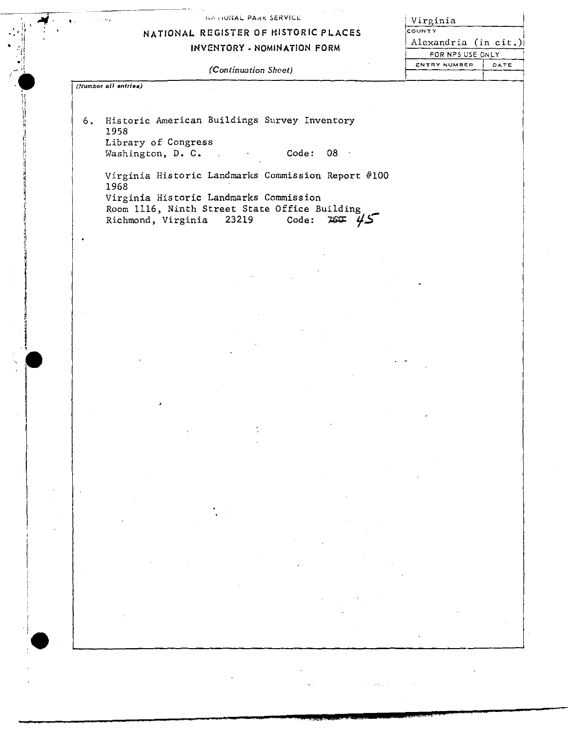#### NATIONAL PARK SERVICE

## **NATIONAL REGISTER** OF **HISTORIC PLACES**

**INVENTORY. NOMINATION FORM** 

<u>Virginia</u> COUNTY Alexandria (in cit.)i FOR NPS USE ONLY<br>ENTRY NUMBER | DATE

f

| (Continuation Sheet) |  |
|----------------------|--|
|----------------------|--|

*(Number BIi entries)* 

---------------- ,,

 $\frac{1}{\sqrt{1-\frac{1}{2}}}$  $\mathbb{P}^{\mathbb{P}^{\mathbb{P}^{\mathbb{P}^{\mathbb{P}^{\mathbb{P}}}}}}$  ;

 $\sim$  11  $\mathbf{v} = \mathbf{v}$  $\mathcal{L}$  $\frac{1}{2}$  " - \I *(.* ' ',I

ll.<br>H )i ;;

6. Historic American Buildings Survey Inventory 1958 Library of Congress Washington, D. C. C. Code: 08

Virginia Historic Landmarks Commission Report #100 1968 Virginia Historic Landmarks Commission Room 1116, Ninth Street State Office Building<br>Richmond, Virginia 23219 Code: 760 4.5 Richmond, Virginia 23219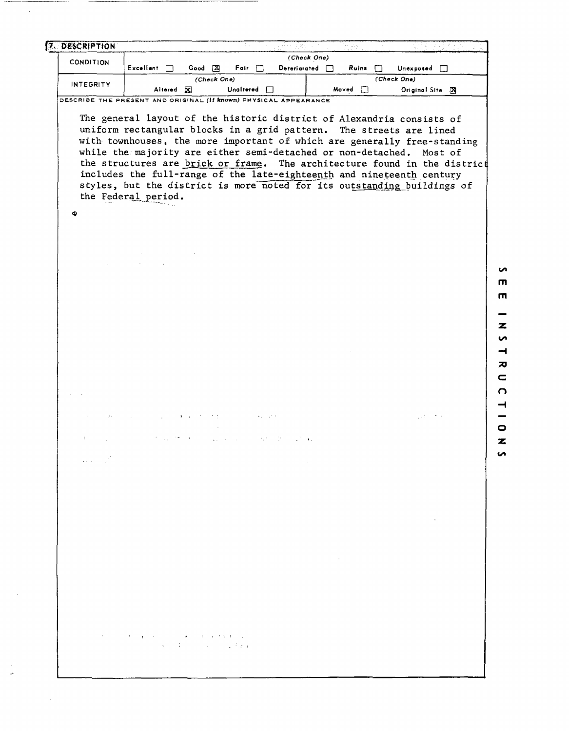| <b>INTEGRITY</b>       | Unaltered n<br>Altered <b>X</b>                                                                                                                                                                                                                                                                                                                                                                                                                                                                                                                          |                                                 | Moved []                          | Original Site [X]                                         |  |
|------------------------|----------------------------------------------------------------------------------------------------------------------------------------------------------------------------------------------------------------------------------------------------------------------------------------------------------------------------------------------------------------------------------------------------------------------------------------------------------------------------------------------------------------------------------------------------------|-------------------------------------------------|-----------------------------------|-----------------------------------------------------------|--|
|                        | DESCRIBE THE PRESENT AND ORIGINAL (If known) PHYSICAL APPEARANCE                                                                                                                                                                                                                                                                                                                                                                                                                                                                                         |                                                 |                                   |                                                           |  |
|                        | The general layout of the historic district of Alexandria consists of<br>uniform rectangular blocks in a grid pattern. The streets are lined<br>with townhouses, the more important of which are generally free-standing<br>while the majority are either semi-detached or non-detached. Most of<br>the structures are brick or frame. The architecture found in the district<br>includes the full-range of the late-eighteenth and nineteenth century<br>styles, but the district is more noted for its outstanding buildings of<br>the Federal period. |                                                 |                                   |                                                           |  |
| ٠                      |                                                                                                                                                                                                                                                                                                                                                                                                                                                                                                                                                          |                                                 |                                   |                                                           |  |
|                        |                                                                                                                                                                                                                                                                                                                                                                                                                                                                                                                                                          |                                                 |                                   |                                                           |  |
|                        |                                                                                                                                                                                                                                                                                                                                                                                                                                                                                                                                                          |                                                 |                                   |                                                           |  |
|                        |                                                                                                                                                                                                                                                                                                                                                                                                                                                                                                                                                          |                                                 |                                   |                                                           |  |
|                        |                                                                                                                                                                                                                                                                                                                                                                                                                                                                                                                                                          |                                                 |                                   |                                                           |  |
|                        |                                                                                                                                                                                                                                                                                                                                                                                                                                                                                                                                                          |                                                 |                                   |                                                           |  |
|                        |                                                                                                                                                                                                                                                                                                                                                                                                                                                                                                                                                          |                                                 |                                   |                                                           |  |
|                        |                                                                                                                                                                                                                                                                                                                                                                                                                                                                                                                                                          |                                                 |                                   |                                                           |  |
|                        |                                                                                                                                                                                                                                                                                                                                                                                                                                                                                                                                                          |                                                 |                                   |                                                           |  |
|                        |                                                                                                                                                                                                                                                                                                                                                                                                                                                                                                                                                          |                                                 |                                   |                                                           |  |
|                        |                                                                                                                                                                                                                                                                                                                                                                                                                                                                                                                                                          |                                                 |                                   |                                                           |  |
|                        |                                                                                                                                                                                                                                                                                                                                                                                                                                                                                                                                                          |                                                 |                                   | $\mathcal{L}_{\text{max}}$ and $\mathcal{L}_{\text{max}}$ |  |
| $\ddot{\phantom{a}}$   |                                                                                                                                                                                                                                                                                                                                                                                                                                                                                                                                                          | 化粘合管<br>$\mathcal{L}^{\text{max}}_{\text{max}}$ |                                   |                                                           |  |
| میں ہے۔<br>مرکز اندازہ |                                                                                                                                                                                                                                                                                                                                                                                                                                                                                                                                                          |                                                 |                                   |                                                           |  |
|                        |                                                                                                                                                                                                                                                                                                                                                                                                                                                                                                                                                          | and the con-                                    |                                   |                                                           |  |
|                        |                                                                                                                                                                                                                                                                                                                                                                                                                                                                                                                                                          |                                                 |                                   |                                                           |  |
|                        |                                                                                                                                                                                                                                                                                                                                                                                                                                                                                                                                                          |                                                 |                                   |                                                           |  |
|                        |                                                                                                                                                                                                                                                                                                                                                                                                                                                                                                                                                          |                                                 |                                   | and the control of the                                    |  |
|                        |                                                                                                                                                                                                                                                                                                                                                                                                                                                                                                                                                          |                                                 |                                   |                                                           |  |
|                        |                                                                                                                                                                                                                                                                                                                                                                                                                                                                                                                                                          |                                                 | the control of the control of the |                                                           |  |
|                        |                                                                                                                                                                                                                                                                                                                                                                                                                                                                                                                                                          |                                                 |                                   | and the state                                             |  |
|                        |                                                                                                                                                                                                                                                                                                                                                                                                                                                                                                                                                          |                                                 |                                   |                                                           |  |
|                        |                                                                                                                                                                                                                                                                                                                                                                                                                                                                                                                                                          |                                                 |                                   |                                                           |  |
|                        | $\mathcal{O}(N^2)$ and $\mathcal{O}(N^2)$ . The properties of the contribution of the following $\mathcal{O}(N^2)$                                                                                                                                                                                                                                                                                                                                                                                                                                       | the control of the state of the con-            |                                   |                                                           |  |
|                        | and the second control of the pro-                                                                                                                                                                                                                                                                                                                                                                                                                                                                                                                       |                                                 |                                   |                                                           |  |

 $\ddot{\phantom{1}}$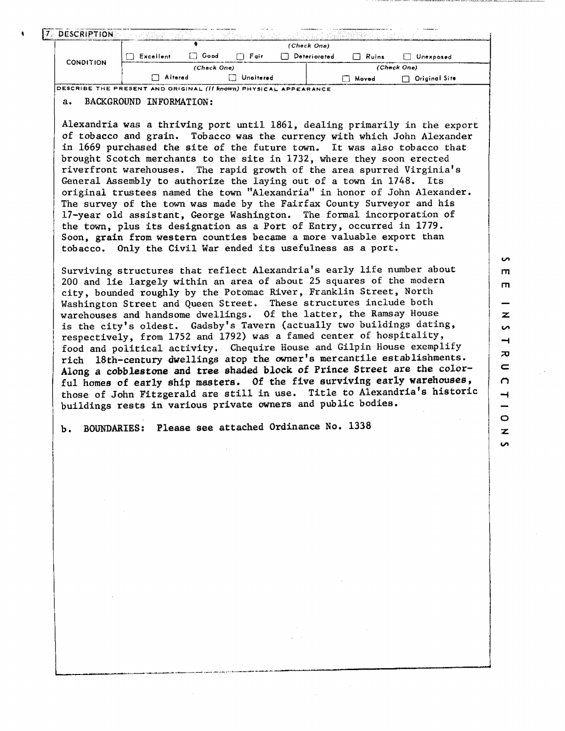| 7 DESCRIPTION                                                           |           |             |           |              |       |                      |
|-------------------------------------------------------------------------|-----------|-------------|-----------|--------------|-------|----------------------|
|                                                                         |           |             |           | (Check One)  |       |                      |
| <b>CONDITION</b>                                                        | Excellent | Good        | ∩ Fair    | Deteriorated | Ruins | Unexposed            |
|                                                                         |           | (Check One) |           |              |       | (Check One)          |
|                                                                         | Alterad   |             | Unaitered |              | Moved | $\Box$ Original Site |
| DESCRIBE THE PRESENT AND ORIGINAL <i>(If known)</i> Physical Appfarance |           |             |           |              |       |                      |

a. BACKGROUND INFORMATION:

Alexandria was a thriving port until 1861, dealing primarily in the export of tobacco and grain. Tobacco was the currency with which John Alexander in 1669 purchased the site of the future town. It was also tobacco that brought Scotch merchants to the site in 1732, where they soon erected riverfront warehouses. The rapid growth of the area spurred Virginia's General Assembly to authorize the laying out of a town in 1748. Its original trustees named the town "Alexandria" in honor of John Alexander. The survey of the town was made by the Fairfax County Surveyor and his 17-year old assistant, George Washington. The formal incorporation of the town, plus its designation as a Port of Entry, occurred in 1779. Soon, grain from western counties became a more valuable export than tobacco. Only the Civil War ended its usefulness as a port.

Surviving structures that reflect Alexandria's early life number about 200 and lie largely within an area of about 25 squares of the modern city, bounded roughly by the Potomac River, Franklin Street, North Washington Street and Queen Street. These structures include both warehouses and handsome dwellings. Of the latter, the Ramsay House is the city's oldest. Gadsby's Tavern (actually two buildings dating, respectively, from 1752 and 1792) was a famed center of hospitality, food and political activity, Chequire House and Gilpin House exemplify rich 18th-century -dwellings atop the owner's mercantile establishments. Along *a* **cobblestone** and tree **shaded block** of Prince **Street** are the colorful homes of early ship masters. Of the five surviving early warehouses, those of John Fitzgerald are still in use. Title to Alexandria's historic buildings rests in various private owners and public bodies.

L.---------~--~-------~-----•----------------------------

b. BOUNDARIES: Please see attached Ordinance No. 1338

m **z**   $\overline{a}$  $\rightarrow$  $\overline{v}$  $\subset$  $\Omega$  $\rightarrow$  $\circ$ **z:** 

ίn.

m

 $\sim$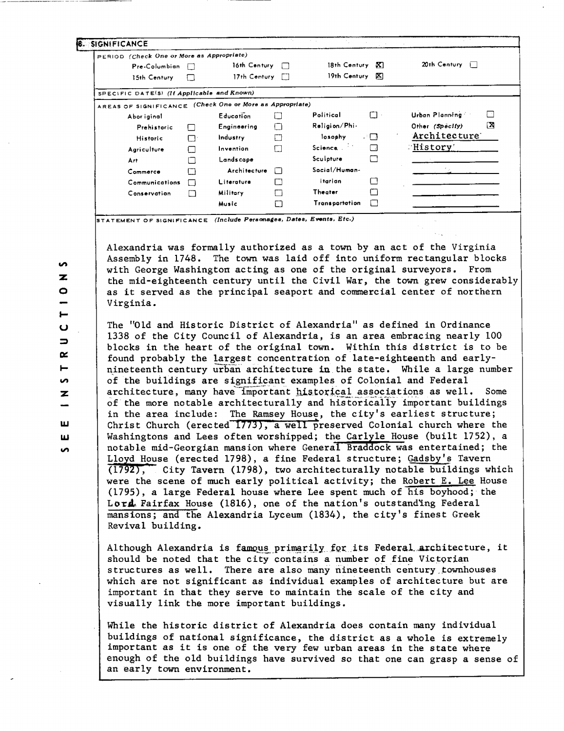| PERIOD (Check One or More as Appropriate)                |    |                  |              |                       |                        |
|----------------------------------------------------------|----|------------------|--------------|-----------------------|------------------------|
| Pre-Columbian                                            |    | 16th Century     | П            | 18th Century<br>K.    | 20th Century $\Box$    |
| 15th Century                                             |    | 17th Century     |              | 19th Century<br>K)    |                        |
| SPECIFIC DATE(5) (If Applicable and Known)               |    |                  |              |                       |                        |
| AREAS OF SIGNIFICANCE (Check One or More as Appropriate) |    |                  |              |                       |                        |
| Abor iginal                                              |    | <b>Education</b> |              | Political<br>$\Box$ . | F<br>Urban Planning    |
| Prehistoric                                              | ⊏  | Engineering      | $\mathbf{1}$ | Religion/Phi-         | ΓXΙ<br>Other (Specify) |
| Historic                                                 | r٠ | Industry         |              | losophy<br>- 0        | Architecture           |
| Agriculture                                              |    | Invention        |              | Science               | :History:              |
| Art                                                      |    | Landscape        |              | Sculpture             |                        |
| Commerce                                                 |    | Architecture     | $\Box$       | Social/Human-         |                        |
| Communications                                           |    | Literatura       |              | itarian.              |                        |
| Conservation                                             | М  | Military         |              | <b>Theater</b>        |                        |
|                                                          |    | Music            |              | Transportation        |                        |

STATEMENT OF SIGNIFICANCE (Include Personages, Dates, Events, Etc.)

Alexandria was formally authorized as a town by an act of the Virginia Assembly in 1748. The town was laid off into uniform rectangular blocks with George Washington acting as one of the original surveyors. From the mid-eighteenth century until the Civil War, the town grew considerably as it served as the principal seaport and commercial center of northern Virginia.

The "Old and Historic District of Alexandria" as defined in Ordinance 1338 of the City Council of Alexandria, is an area embracing nearly 100 blocks in the heart of the original town. Within this district is to be found probably the largest concentration of late-eighteenth and earlynineteenth century urban architecture in the state. While a large number of the buildings are significant examples of Colonial and Federal architecture, many have important historical associations as well. Some of the more notable architecturally and historically important buildings in the area include: The Ramsey House, the city's earliest structure; Christ Church (erected 1773), a well preserved Colonial church where the Washingtons and Lees often worshipped; the Carlyle House (built 1752), a notable mid-Georgian mansion where General Braddock was entertained; the Lloyd House (erected 1798), a fine Federal structure; Gadsby's Tavern  $(1792)$ , City Tavern (1798), two architecturally notable buildings which were the scene of much early political activity; the Robert E. Lee House  $(1795)$ , a large Federal house where Lee spent much of his boyhood; the Lord. Fairfax House (1816), one of the nation's outstanding Federal mansions; and the Alexandria Lyceum (1834), the city's finest Greek Revival building.

Although Alexandria is famous primarily for its Federal architecture, it should be noted that the city contains a number of fine Victorian structures as well. There are also many nineteenth century townhouses which are not significant as individual examples of architecture but are important in that they serve to maintain the scale of the city and visually link the more important buildings.

While the historic district of Alexandria does contain many individual buildings of national significance, the district as a whole is extremely important as it is one of the very few urban areas in the state where enough of the old buildings have survived so that one can grasp a sense of an early town environment.

 $\bullet$  $\overline{\mathbf{z}}$  $\bullet$  $\blacksquare$  $\bullet$  $\Rightarrow$  $\alpha$ ⊢ **S**  $\overline{z}$ ш

ш

 $\bullet$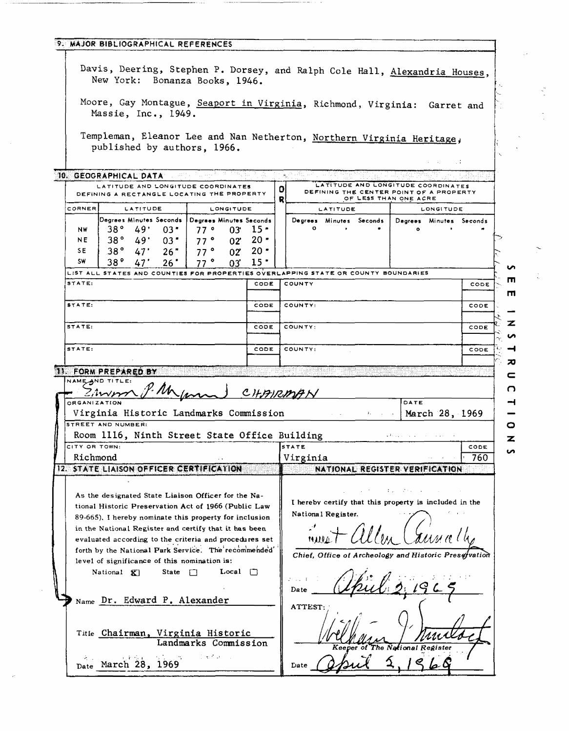|                     | Davis, Deering, Stephen P. Dorsey, and Ralph Cole Hall, Alexandria Houses,<br>New York: Bonanza Books, 1946. |                                 |            |                  |                                  |        |              |                 |                         |                                                                  |                    |               |
|---------------------|--------------------------------------------------------------------------------------------------------------|---------------------------------|------------|------------------|----------------------------------|--------|--------------|-----------------|-------------------------|------------------------------------------------------------------|--------------------|---------------|
|                     | Moore, Gay Montague, Seaport in Virginia, Richmond, Virginia: Garret and<br>Massie, Inc., 1949.              |                                 |            |                  |                                  |        |              |                 |                         |                                                                  |                    |               |
|                     | Templeman, Eleanor Lee and Nan Netherton, Northern Virginia Heritage,<br>published by authors, 1966.         |                                 |            |                  |                                  |        |              |                 |                         |                                                                  |                    |               |
|                     |                                                                                                              |                                 |            |                  |                                  |        |              |                 |                         |                                                                  |                    | $\sim$ $\sim$ |
|                     | 10. GEOGRAPHICAL DATA<br>LATITUDE AND LONGITUDE COORDINATES                                                  |                                 |            |                  |                                  |        |              |                 |                         | LATITUDE AND LONGITUDE COORDINATES                               |                    |               |
|                     | DEFINING A RECTANGLE LOCATING THE PROPERTY                                                                   |                                 |            |                  |                                  | o<br>R |              |                 |                         | DEFINING THE CENTER POINT OF A PROPERTY<br>OF LESS THAN ONE ACRE |                    |               |
| CORNER              |                                                                                                              | <b>LATITUDE</b>                 |            | <b>LONGITUDE</b> |                                  |        |              | <b>LATITUDE</b> |                         |                                                                  | <b>LONGITUDE</b>   |               |
|                     | Degrees Minutes Seconds   Degrees Minutes Seconds                                                            |                                 |            |                  |                                  |        | 0            |                 | Degrees Minutes Seconds | Degrees Minutes Seconds                                          |                    |               |
| NW.<br>NE           | $38^{\circ}$ 49'<br>38°                                                                                      | 03"<br>49'<br>$03$ $^{\bullet}$ | 77°<br>77° |                  | $03'$ 15 $\cdot$<br>$02'$ 20 $"$ |        |              | $\mathbf{r}$    |                         | ۰                                                                |                    |               |
| SE                  | .38°                                                                                                         | $47^\circ$<br>26"               | 77°        |                  | $02 \t 20$ *                     |        |              |                 |                         |                                                                  |                    |               |
| SW                  | 38°                                                                                                          | 26"<br>47'                      | 77°        | 03.              | $15 -$                           |        |              |                 |                         |                                                                  |                    |               |
|                     | LIST ALL STATES AND COUNTIES FOR PROPERTIES OVERLAPPING STATE OR COUNTY BOUNDARIES                           |                                 |            |                  |                                  |        |              |                 |                         |                                                                  |                    |               |
| STATE:              |                                                                                                              |                                 |            |                  | CODE                             |        | COUNTY       |                 |                         |                                                                  |                    | CODE          |
| STATE:              |                                                                                                              |                                 |            |                  | CODE                             |        | COUNTY:      |                 |                         |                                                                  |                    |               |
|                     |                                                                                                              |                                 |            |                  |                                  |        |              |                 |                         |                                                                  |                    | CODE          |
| STATE:              |                                                                                                              |                                 |            |                  | CODE                             |        | COUNTY:      |                 |                         |                                                                  |                    | CODE          |
|                     |                                                                                                              |                                 |            |                  |                                  |        |              |                 |                         |                                                                  |                    |               |
| STATE:              |                                                                                                              |                                 |            |                  | CODE                             |        | COUNTY:      |                 |                         |                                                                  |                    | CODE          |
|                     |                                                                                                              |                                 |            |                  |                                  |        |              |                 |                         |                                                                  |                    |               |
|                     | 11. FORM PREPARED BY                                                                                         |                                 |            |                  |                                  |        |              |                 |                         |                                                                  |                    |               |
|                     | NAME AND TITLE:                                                                                              |                                 |            |                  |                                  |        |              |                 |                         |                                                                  |                    |               |
|                     | <u> Cimmo</u>                                                                                                |                                 |            |                  |                                  |        |              |                 |                         |                                                                  |                    |               |
| <b>ORGANIZATION</b> |                                                                                                              | P. Mun                          |            |                  |                                  |        | CHAIRMAN     |                 |                         | DATE                                                             |                    |               |
|                     | Virginia Historic Landmarks Commission                                                                       |                                 |            |                  |                                  |        |              |                 |                         | <b>Example 1969</b> March 28, 1969                               |                    |               |
|                     | STREET AND NUMBER:                                                                                           |                                 |            |                  |                                  |        |              |                 |                         |                                                                  |                    |               |
|                     | Room 1116, Ninth Street State Office Building                                                                |                                 |            |                  |                                  |        | <b>STATE</b> |                 |                         | المتوارث والمحاوية والمحافظة                                     |                    | CODE          |
|                     | Richmond                                                                                                     |                                 |            |                  |                                  |        | Virginia     |                 |                         |                                                                  |                    | 760           |
| CITY OR TOWN:       | 12. STATE LIAISON OFFICER CERTIFICATION<br>As the designated State Liaison Officer for the Na-               |                                 |            |                  |                                  |        |              |                 |                         | NATIONAL REGISTER VERIFICATION<br>する しけんしゅう                      | and the company of |               |

 $\mathcal{A}^{\mathcal{A}}$ 

 $\hat{\vec{r}}$ 

 $\frac{1}{2}$  .

 $\frac{1}{\sqrt{2}}$ 

 $\sum_{i=1}^{n}$ 

 $\frac{1}{\sqrt{2}}$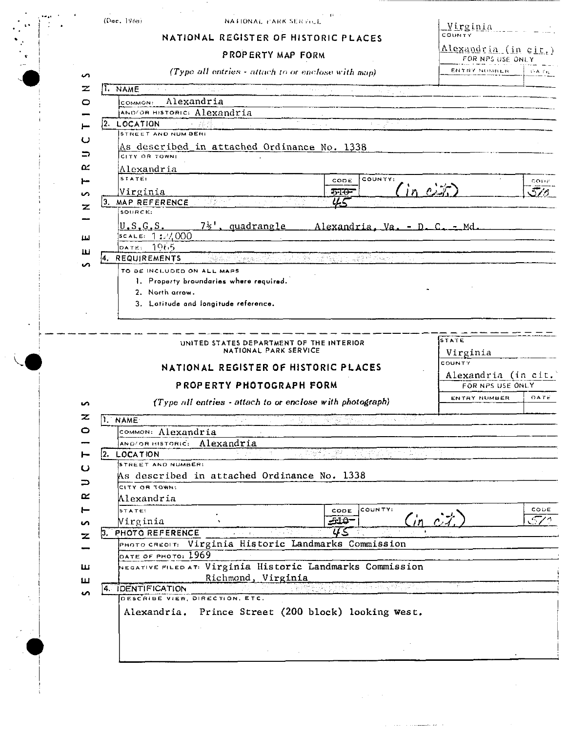| (Dac. |  | 196ні |  |
|-------|--|-------|--|
|       |  |       |  |

 $\mathbf{A}^{\dagger}$ 

 $\omega_{\rm 200}$   $\sim$ 

 $\sim 10^{-1}$  km

 $\mathcal{A}^{\mathcal{A}}$ 

## NATIONAL PARK SERVICE

NATIONAL REGISTER OF HISTORIC PLACES

 $\sim$ 

 $\frac{1}{2} \left( \frac{1}{2} \right)$ 

 $Virginia$  $\frac{1}{2}$  $\overline{\phantom{a}}$ J.

|              | PROPERTY MAP FORM                                                   | <u>Alexandria (in cit.)</u><br>FOR NPS USE ONLY |             |
|--------------|---------------------------------------------------------------------|-------------------------------------------------|-------------|
| S            | (Type all entries - attach to or enclose with map)                  | ENTRY NUMBER                                    | <b>CATE</b> |
| z            | I NAME<br>si D                                                      |                                                 |             |
| 0            | Alexandria<br>COMMON:                                               |                                                 |             |
|              | AND/OR HISTORIC: Alexandria                                         |                                                 |             |
|              | 2. LOCATION<br>지수 없는 민<br>and the                                   |                                                 |             |
| ပ            | STREET AND NUMBER:                                                  |                                                 |             |
|              | As described in attached Ordinance No. 1338                         |                                                 |             |
| ⇒            | CITY OR TOWN:                                                       |                                                 |             |
| œ            | Alexandria<br>STATE:                                                |                                                 |             |
| ⊢            | COUNTY:<br>CODE<br>$in c \nleftrightarrow$                          |                                                 | cone        |
| S            | Virginia<br>$570 -$<br>YS.<br>3. MAP REFERENCE<br>Steven            |                                                 | 576         |
| z            | SOURCE:                                                             |                                                 |             |
|              | <u>7' , quadrangle</u><br>U.S.G.S.<br>Alexandria, Va. - D. C. - Md. |                                                 |             |
| Щ            | $s$ cale: 1:24000                                                   |                                                 |             |
| ш            | $-106.5$<br>DATE:                                                   |                                                 |             |
|              | 4. REQUIREMENTS<br>的复数轻荷炸麻醉                                         |                                                 |             |
|              | TO BE INCLUDED ON ALL MAPS                                          |                                                 |             |
|              | 1. Property broundaries where required.                             |                                                 |             |
|              | 2. North arrow.                                                     |                                                 |             |
|              | 3. Latitude and longitude reference.                                |                                                 |             |
|              |                                                                     |                                                 |             |
|              |                                                                     | STATE                                           |             |
|              | UNITED STATES DEPARTMENT OF THE INTERIOR<br>NATIONAL PARK SERVICE   | Virginia                                        |             |
|              |                                                                     | COUNTY                                          |             |
|              | NATIONAL REGISTER OF HISTORIC PLACES                                | Alexandria (in cit.                             |             |
|              | PROPERTY PHOTOGRAPH FORM                                            | FOR NPS USE ONLY                                |             |
|              |                                                                     | ENTRY NUMBER                                    | DATE        |
| S            | (Type all entries - attach to or enclose with photograph)           |                                                 |             |
| z            | 1. NAME<br>Village S<br>2011년 1월 12일 - 1월 12일                       |                                                 |             |
| o            | common: Alexandria                                                  |                                                 |             |
|              | AND/OR HISTORIC: Alexandria                                         |                                                 |             |
|              | <u> 대학자 대학</u><br>말했다<br>LOCATION<br>2.                             |                                                 |             |
| ပ            | STREET AND NUMBER:<br>As described in attached Ordinance No. 1338   |                                                 |             |
| ⊃            | CITY OR TOWN:                                                       |                                                 |             |
| ≃            | Alexandria                                                          |                                                 |             |
| ⊢            | COUNTY:<br>STATE:<br>CODE                                           |                                                 | CODE        |
| S            | $Cin$ $c$ $\ddot{x}$<br>-ملڪ<br>Virginia                            |                                                 | 570         |
| $\mathbf{z}$ | US<br>3. PHOTO REFERENCE                                            |                                                 |             |
|              | PHOTO CREDIT: Virginia Historic Landmarks Commission                |                                                 |             |
|              | DATE OF PHOTO: $1969$                                               |                                                 |             |
| ш            | NEGATIVE FILED AT: Virginia Historic Landmarks Commission           |                                                 |             |
| ш            | Richmond, Virginia                                                  |                                                 |             |
| S            | 4. IDENTIFICATION                                                   |                                                 |             |
|              | DESCRIBE VIEW, DIRECTION, ETC.                                      |                                                 |             |

Alexandria. Prince Street (200 block) looking west.

 $\sim$ 

 $\sim$ 

 $\sqrt{2}$  ,  $\sqrt{2}$ 

 $\hat{f}$  , and the components are

 $\sim$ 

÷.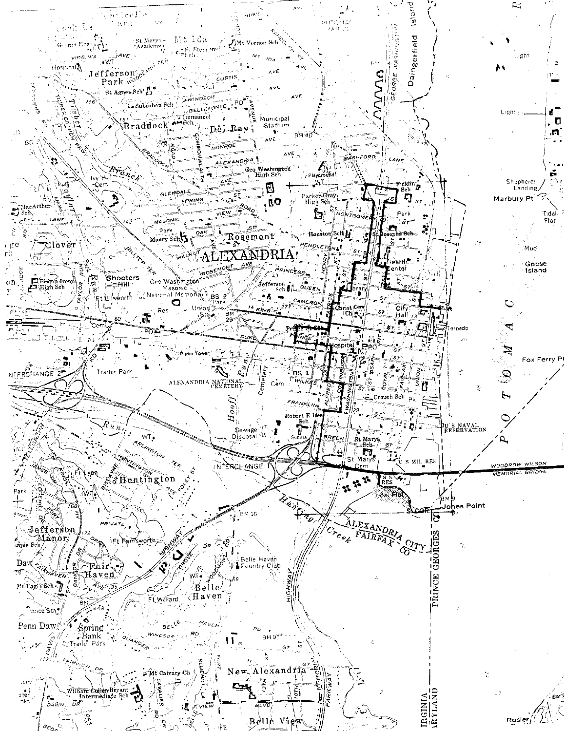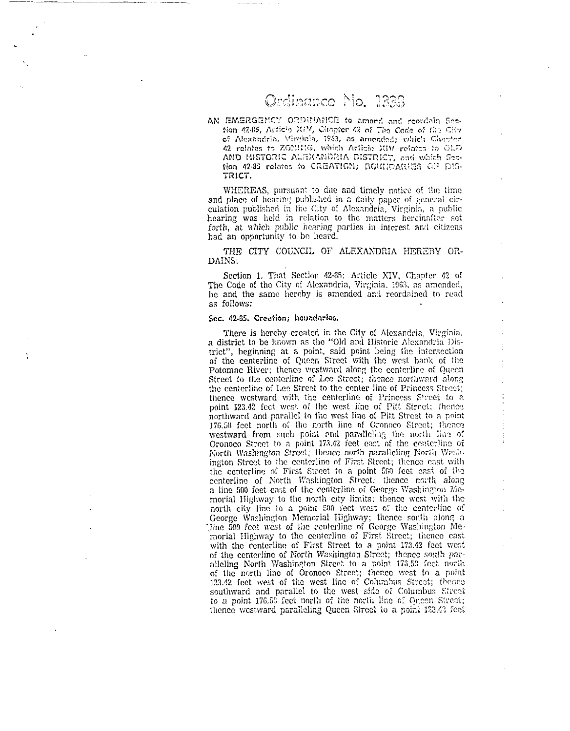# Ordinance Mo. 1888

AN EMERGENCY ORDINANCE to amond and reordain Section 42-85, Article XIM, Chapter 42 of The Code of the City of Alexandria, Virginia, 1953, as amended; vihich Chanter 42 relates to ZOMMIG, which Article XIV relates to OLD AND HISTORIC ALEXANDRIA DISTRICT, and which Section 42-85 relates to CREATION; BOUNDARIES OF DIS-TRICT.

WHEREAS, pursuant to due and timely notice of the time and place of hearing published in a daily paper of general circulation published in the City of Alexandria, Virginia, a public hearing was held in relation to the matters hereinafter set forth, at which public hearing parties in interest and citizens had an opportunity to be heard.

THE CITY COUNCIL OF ALEXANDRIA HEREBY OR-DAINS:

Section 1. That Section 42-85; Article XIV, Chapter 42 of The Code of the City of Alexandria, Virginia, 1963, as amended, be and the same hereby is amended and reordained to read as follows:

#### Sec. 42-85. Creation; boundaries.

There is hereby created in the City of Alexandria, Virginia, a district to be known as the "Old and Historic Alexandria District", beginning at a point, said point being the intersection of the centerline of Queen Street with the west bank of the Potomac River; thence westward along the centerline of Queen Street to the centerline of Lee Street; thence northward along the centerline of Lee Street to the center line of Princess Street; thence westward with the centerline of Princess Street to a point 123.42 feet west of the west line of Pitt Street; thence northward and parallel to the west line of Pitt Street to a point 176.58 feet north of the north line of Oronoco Street; thence westward from such point and paralleling the north line of Oronoco Street to a point 173.42 feet east of the centerline of North Washington Street; thence north paralleling North Washington Street to the centerline of First Street; thence east with the centerline of First Street to a point 560 feet cast of the centerline of North Washington Street; thence north along a line 500 feet east of the centerline of George Washington Mcmorial Highway to the north city limits; thence west with the north city line to a point 500 feet west of the centerline of George Washington Memorial Highway; thence south along a Jine 500 feet west of the centerline of George Washington Memorial Highway to the centerline of First Street; thence east with the centerline of First Street to a point 173.42 feet west of the centerline of North Washington Street; thence south paralleling North Washington Street to a point 176.53 feet north of the north line of Oronoco Street; thence west to a point 123.42 feet west of the west line of Columbus Street; thence southward and parallel to the west side of Columbus Street to a point 176.59 feet north of the north line of Queen Street; thence westward paralleling Queen Street to a point 123.43 feet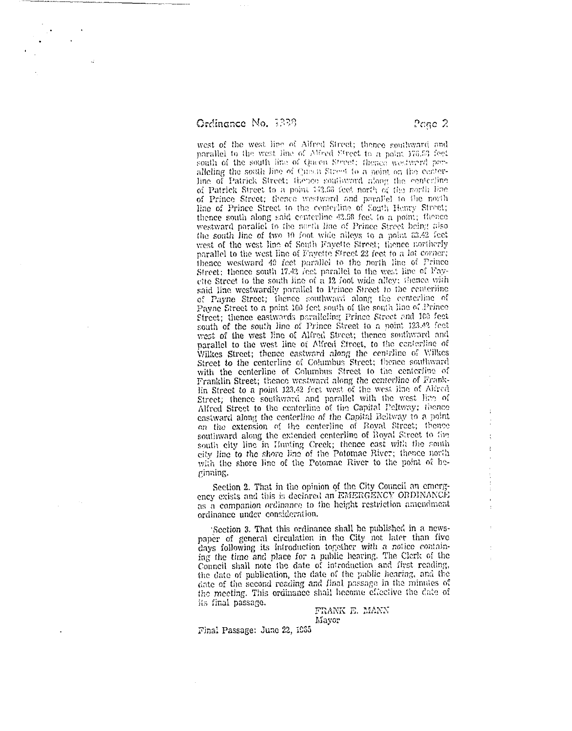Ordinance No. 3338

west of the west line of Alfred Street; thence southward and parallel to the west line of Alfred Street to a point 176.53 feet south of the south line of Queen Street; thence westward poralleling the south line of Queen Street to a point on the centerline of Patrick Street; thence southward along the centerline of Patrick Street to a point 142.56 feet north of the north line of Prince Street; thence westward and parallel to the north line of Prince Street to the centerline of South Henry Street; thence south along said centerline 42.58 feet to a point; flience westward parallel to the north line of Prince Street being also the south line of two 10 foot wide alleys to a point 63.42 feet west of the west line of South Fayette Street; thence northerly parallel to the west line of Fayette Street 22 feet to a lot corner; thence westward 49 feet parallel to the north line of Prince Street; thence south 17.42 feet parallel to the west line of Fayefte Street to the south line of a 12 foot wide alley; thence with said line westwardly parallel to Prince Street to the centerline of Payne Street; thence southward along the centerline of Payne Street to a point 100 feet south of the south line of Prince Street; thence eastwards paralleling Prince Street and 100 feet south of the south line of Prince Street to a point 123.42 feet west of the west line of Alfred Street; thence southward and parallel to the west line of Alfred Etreet, to the centerline of Wilkes Street; thence eastward along the centrline of Wilkes Street to the centerline of Columbus Street; frence southward with the centerline of Columbus Street to the centerline of Franklin Street; thence westward along the centerline of Franklin Street to a point 123.42 feet west of the west line of Alfred Street; thence southward and parallel with the west line of Alfred Street to the centerline of the Capital Deltway; thence castward along the centerline of the Capital Beltway to a point on the extension of the centerline of Royal Street; thence southward along the extended centerline of Royal Street to the south eity line in Hunting Creek; thence cast with the south eity line to the shore line of the Potomac River; thence north with the shore line of the Potomac River to the point of heginning.

Section 2. That in the opinion of the City Council an emergency exists and this is declared an EMERGENCY ORDINANCE as a companion ordinance to the height restriction amendment ordinance under consideration.

Section 3. That this ordinance shall be published in a newspaper of general circulation in the City not later than five days following its introduction together with a notice containing the time and place for a public hearing. The Clerk of the Council shall note the date of introduction and first reading, the date of publication, the date of the public hearing, and the date of the second reading and final passage in the minutes of the meeting. This ordinance shall become effective the date of its final passage.

FRANK E. MANN Mayor

Final Passage: June 22, 1965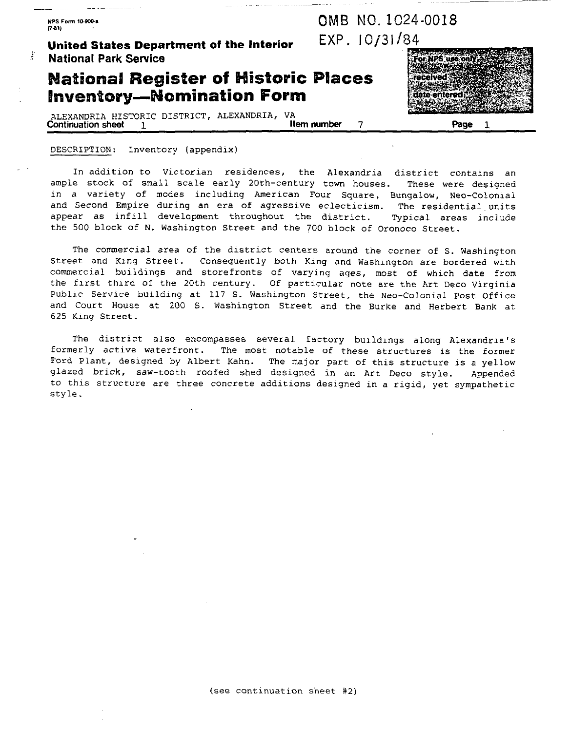**NPS Form 10.900. rtdl)** 

ğ.

## **United States Department of the Interior**  $EXP. 10/31/84$ **National Park Senrice**

## **National Register of Historic Places Inventory-Nomination Form**

ALEXANDRIA HISTORIC DISTRICT, ALEXANDRIA, VA<br>Continuation sheet 1 **Continuation sheet 1 Item number** 7 Page  $\mathbf{1}$ 

#### DESCRIPTION: Inventory (appendix)

In addition to Victorian residences, the Alexandria district contains an ample stock of small scale early 20th-century town houses. These were designed in a variety of modes including American Four Square, Bungalow, Neo-Colonial and Second Empire during an era of agressive eclecticism. The residential units appear as infill development throughout the district. Typical areas include the 500 block of N. Washington Street and the 700 block of Oronoco Street.

The commercial area of the district centers around the corner of S. Washington Street and King Street. Consequently both King and Washington are bordered with commercial buildings and storefronts of varying ages, most of which date from the first third of the 20th century. Of particular note are the Art Deco Virginia Public Service building at 117 S. Washington Street, the Neo-Colonial Post Office and Court House at 200 S. Washington Street and the Burke and Herbert Bank at 625 King Street.

The district also encompasses several factory buildings along Alexandria's formerly active waterfront. The most notable of these structures is the former Ford Plant, designed by Albert Kahn. The major part of this structure is a yellow glazed brick, saw-tooth roofed shed designed in an Art Deco style. Appended to this structure are three concrete additions designed in a rigid, yet sympathetic style.



-

0MB NO. 1024-0018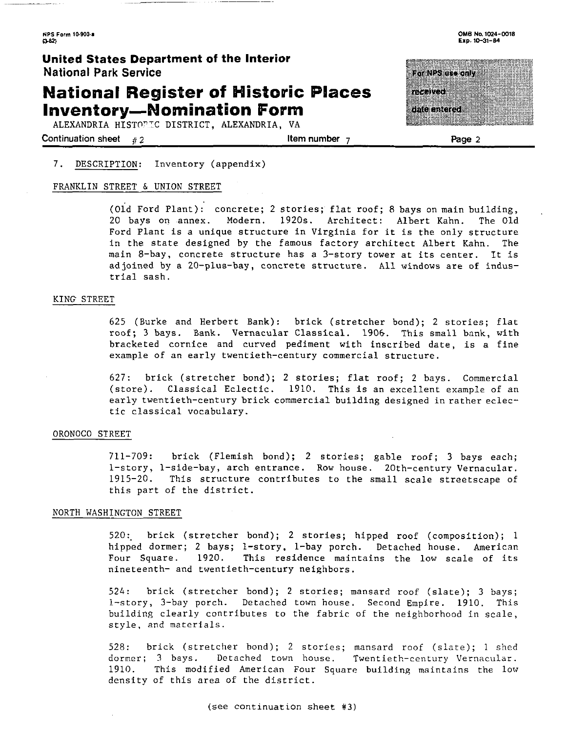# **National Register of Historic Places Inventory-Nomination Form**

ALEXANDRIA HISTOPIC DISTRICT, ALEXANDRIA, VA

**Continuation sheet** # 2 **1 <b>1 1 2 1 Item number 7 Page 2 Page 2** 

OMB No. 1024-0018 Fxn. 10-31-84

# For NPS use only man m

da a merca

#### 7. DESCRIPTION: Inventory (appendix)

#### FRANKLIN STREET & UNION STREET

(old Ford Plant): concrete; 2 stories; flat roof; 8 bays on main building, 20 bays on annex. Modern. 1920s. Architect: Albert Kahn. The Old Ford Plant is a unique structure in Virginia for it is the only structure in the state designed by the famous factory architect Albert Kahn. The main 8-bay, concrete structure has a 3-story tower at its center. It is adjoined by a 20-plus-bay, concrete structure. All windows are of industrial sash.

#### KING STREET

625 (Burke and Herbert Bank): brick (stretcher bond); 2 stories; flat roof; 3 bays. Bank. Vernacular Classical. 1906. This small bank, with bracketed cornice and curved pediment with inscribed date, is a fine example of an early twentieth-century commercial structure.

627: brick (stretcher bond); 2 stories; flat roof; 2 bays. Commercial (store). Classical Eclectic. 1910. This is an excellent example of an early twentieth-century brick commercial building designed in rather eclectic classical vocabulary.

#### ORONOCO STREET

711-709: brick (Flemish bond); 2 stories; gable roof; 3 bays each; 1-story, 1-side-bay, arch entrance. Row house. 20th-century Vernacular. 1915-20. This structure contributes to the small scale streetscape of this part of the district.

#### NORTH WASHINGTON STREET

520:. brick (stretcher bond); 2 stories; hipped roof (composition); 1 hipped dormer; 2 bays; 1-story, 1-bay porch. Detached house. American Four Square. 1920. This residence maintains the low scale of its nineteenth- and twentieth-century neighbors.

524: brick (stretcher bond); 2 stories; mansard roof (slate); 3 bays; 1-story, 3-bay porch. Detached town house. Second Empire. 1910. This building clearly contributes to the fabric of the neighborhood in scale, style, and materials.

528: brick (stretcher bond); 2 stories; mansard roof (slate); 1 shed dormer; 3 bays. Detached town house. Twentieth-century Vernacular. 1910. This modified American Four Square building maintains the low density of this area of the district.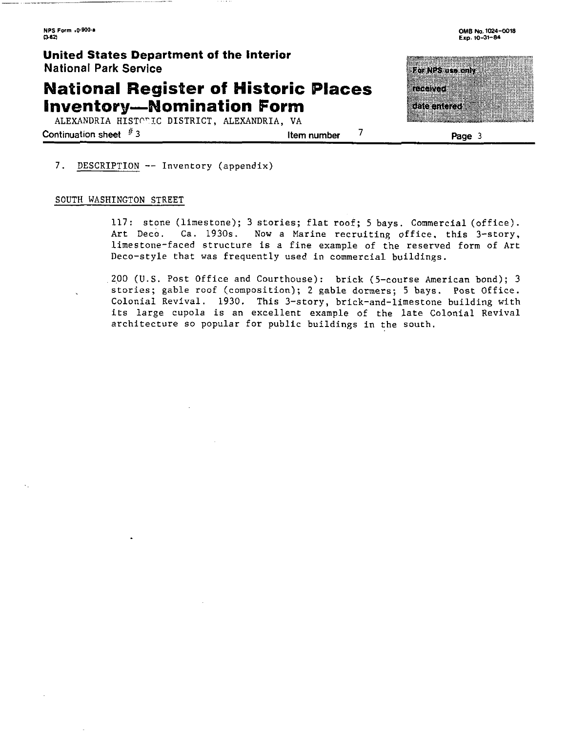### **United States Department of the Interior National Park Service**

# **National Register of Historic Places Inventory-Nomination Form**

ALEXANDRIA HISTORIC DISTRICT, ALEXANDRIA, VA

**Continuation sheet**  $\frac{1}{2}$  **3 Item number**  $\frac{1}{2}$  **Page** 3

For NPS use only man an म्बद्धाः सम्ब

#### 7. DESCRIPTION -- Inventory (appendix)

#### SOUTH WASHINGTON STREET

117: stone (limestone); 3 stories; flat roof; 5 bays. Commercial (office). Art Deco. Ca. 1930s. Now a Marine recruiting office. this 3-story, limestone-faced structure is a fine example of the reserved form of Art Deco-style that was frequently used in commercial buildings.

200 (U.S. Post Office and Courthouse): brick (5-course American bond); 3 stories; gable roof (composition); 2 gable dormers; 5 bays. Post Office. Colonial Revival. 1930. This 3-story, brick-and-limestone building with its large cupola is an excellent example of the late Colonial Revival architecture so popular for public buildings in the south.